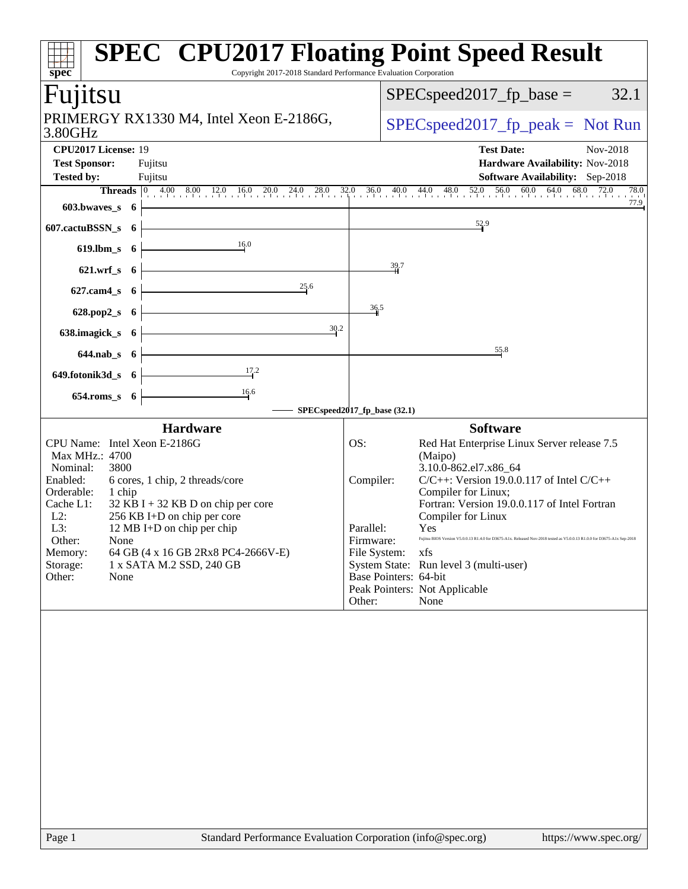| spec®                                                                                                                                                                                           |                                                                                                                                                                                                                           | <b>SPEC<sup>®</sup> CPU2017 Floating Point Speed Result</b><br>Copyright 2017-2018 Standard Performance Evaluation Corporation                                                                                                                                                                                                                                                                                                                                                                                                                                                 |
|-------------------------------------------------------------------------------------------------------------------------------------------------------------------------------------------------|---------------------------------------------------------------------------------------------------------------------------------------------------------------------------------------------------------------------------|--------------------------------------------------------------------------------------------------------------------------------------------------------------------------------------------------------------------------------------------------------------------------------------------------------------------------------------------------------------------------------------------------------------------------------------------------------------------------------------------------------------------------------------------------------------------------------|
| Fujitsu                                                                                                                                                                                         |                                                                                                                                                                                                                           | $SPEC speed2017_fp\_base =$<br>32.1                                                                                                                                                                                                                                                                                                                                                                                                                                                                                                                                            |
| 3.80GHz                                                                                                                                                                                         | PRIMERGY RX1330 M4, Intel Xeon E-2186G,                                                                                                                                                                                   | $SPEC speed2017fr peak = Not Run$                                                                                                                                                                                                                                                                                                                                                                                                                                                                                                                                              |
| CPU2017 License: 19<br><b>Test Sponsor:</b><br><b>Tested by:</b>                                                                                                                                | Fujitsu<br>Fujitsu                                                                                                                                                                                                        | <b>Test Date:</b><br>Nov-2018<br>Hardware Availability: Nov-2018<br><b>Software Availability:</b> Sep-2018                                                                                                                                                                                                                                                                                                                                                                                                                                                                     |
|                                                                                                                                                                                                 |                                                                                                                                                                                                                           | <b>Threads</b> 0 4.00 8.00 12.0 16.0 20.0 24.0 28.0 32.0 36.0 40.0 44.0 48.0 52.0 56.0 60.0 64.0 68.0 72.0<br>78.0<br>77.9                                                                                                                                                                                                                                                                                                                                                                                                                                                     |
| $603.bwaves$ 6                                                                                                                                                                                  |                                                                                                                                                                                                                           |                                                                                                                                                                                                                                                                                                                                                                                                                                                                                                                                                                                |
| 607.cactuBSSN_s 6                                                                                                                                                                               |                                                                                                                                                                                                                           | $\frac{52.9}{4}$                                                                                                                                                                                                                                                                                                                                                                                                                                                                                                                                                               |
| $619$ .lbm_s $6$                                                                                                                                                                                | 16.0                                                                                                                                                                                                                      |                                                                                                                                                                                                                                                                                                                                                                                                                                                                                                                                                                                |
| $621.wrf$ <sub>_S</sub> $6$                                                                                                                                                                     |                                                                                                                                                                                                                           | 39.7                                                                                                                                                                                                                                                                                                                                                                                                                                                                                                                                                                           |
| 627.cam4_s                                                                                                                                                                                      | 25.6<br>6 <sup>1</sup>                                                                                                                                                                                                    |                                                                                                                                                                                                                                                                                                                                                                                                                                                                                                                                                                                |
| 628.pop2_s                                                                                                                                                                                      | 6 <sup>1</sup>                                                                                                                                                                                                            | 36.5                                                                                                                                                                                                                                                                                                                                                                                                                                                                                                                                                                           |
|                                                                                                                                                                                                 |                                                                                                                                                                                                                           | 30.2                                                                                                                                                                                                                                                                                                                                                                                                                                                                                                                                                                           |
| 638.imagick_s                                                                                                                                                                                   | 6 <sup>1</sup>                                                                                                                                                                                                            |                                                                                                                                                                                                                                                                                                                                                                                                                                                                                                                                                                                |
| $644.nab_s$ 6                                                                                                                                                                                   |                                                                                                                                                                                                                           | $\frac{55.8}{5}$                                                                                                                                                                                                                                                                                                                                                                                                                                                                                                                                                               |
| 649.fotonik3d_s 6                                                                                                                                                                               | 17.2                                                                                                                                                                                                                      |                                                                                                                                                                                                                                                                                                                                                                                                                                                                                                                                                                                |
| 654.roms_s 6                                                                                                                                                                                    | $\frac{16.6}{ }$                                                                                                                                                                                                          |                                                                                                                                                                                                                                                                                                                                                                                                                                                                                                                                                                                |
|                                                                                                                                                                                                 |                                                                                                                                                                                                                           | SPECspeed2017_fp_base (32.1)                                                                                                                                                                                                                                                                                                                                                                                                                                                                                                                                                   |
| CPU Name: Intel Xeon E-2186G<br>Max MHz.: 4700<br>Nominal:<br>3800<br>Enabled:<br>Orderable:<br>1 chip<br>Cache L1:<br>$L2$ :<br>L3:<br>Other:<br>None<br>Memory:<br>Storage:<br>Other:<br>None | <b>Hardware</b><br>6 cores, 1 chip, 2 threads/core<br>$32$ KB I + 32 KB D on chip per core<br>256 KB I+D on chip per core<br>12 MB I+D on chip per chip<br>64 GB (4 x 16 GB 2Rx8 PC4-2666V-E)<br>1 x SATA M.2 SSD, 240 GB | <b>Software</b><br>OS:<br>Red Hat Enterprise Linux Server release 7.5<br>(Maipo)<br>3.10.0-862.el7.x86_64<br>$C/C++$ : Version 19.0.0.117 of Intel $C/C++$<br>Compiler:<br>Compiler for Linux;<br>Fortran: Version 19.0.0.117 of Intel Fortran<br>Compiler for Linux<br>Parallel:<br>Yes<br>Firmware:<br>Fujitsu BIOS Version V5.0.0.13 R1.4.0 for D3675-A1x. Released Nov-2018 tested as V5.0.0.13 R1.0.0 for D3675-A1x Sep-2018<br>File System:<br>xfs<br>System State: Run level 3 (multi-user)<br>Base Pointers: 64-bit<br>Peak Pointers: Not Applicable<br>Other:<br>None |
| Page 1                                                                                                                                                                                          |                                                                                                                                                                                                                           | Standard Performance Evaluation Corporation (info@spec.org)<br>https://www.spec.org/                                                                                                                                                                                                                                                                                                                                                                                                                                                                                           |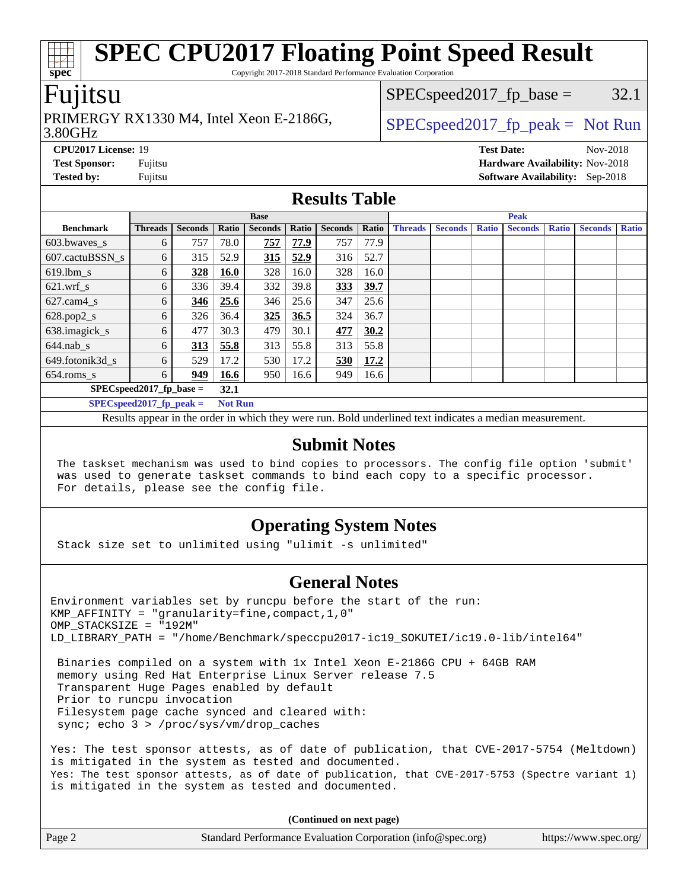Copyright 2017-2018 Standard Performance Evaluation Corporation

### Fujitsu

**[spec](http://www.spec.org/)**

#### 3.80GHz PRIMERGY RX1330 M4, Intel Xeon E-2186G,  $\vert$  [SPECspeed2017\\_fp\\_peak =](http://www.spec.org/auto/cpu2017/Docs/result-fields.html#SPECspeed2017fppeak) Not Run

 $SPEC speed2017_fp\_base = 32.1$ 

**[CPU2017 License:](http://www.spec.org/auto/cpu2017/Docs/result-fields.html#CPU2017License)** 19 **[Test Date:](http://www.spec.org/auto/cpu2017/Docs/result-fields.html#TestDate)** Nov-2018 **[Test Sponsor:](http://www.spec.org/auto/cpu2017/Docs/result-fields.html#TestSponsor)** Fujitsu **[Hardware Availability:](http://www.spec.org/auto/cpu2017/Docs/result-fields.html#HardwareAvailability)** Nov-2018 **[Tested by:](http://www.spec.org/auto/cpu2017/Docs/result-fields.html#Testedby)** Fujitsu **[Software Availability:](http://www.spec.org/auto/cpu2017/Docs/result-fields.html#SoftwareAvailability)** Sep-2018

#### **[Results Table](http://www.spec.org/auto/cpu2017/Docs/result-fields.html#ResultsTable)**

|                                    | <b>Base</b>                |                |                |                | <b>Peak</b> |                |       |                |                |              |                |              |                |              |
|------------------------------------|----------------------------|----------------|----------------|----------------|-------------|----------------|-------|----------------|----------------|--------------|----------------|--------------|----------------|--------------|
| <b>Benchmark</b>                   | <b>Threads</b>             | <b>Seconds</b> | Ratio          | <b>Seconds</b> | Ratio       | <b>Seconds</b> | Ratio | <b>Threads</b> | <b>Seconds</b> | <b>Ratio</b> | <b>Seconds</b> | <b>Ratio</b> | <b>Seconds</b> | <b>Ratio</b> |
| 603.bwaves_s                       | 6                          | 757            | 78.0           | 757            | 77.9        | 757            | 77.9  |                |                |              |                |              |                |              |
| 607.cactuBSSN s                    | 6                          | 315            | 52.9           | 315            | 52.9        | 316            | 52.7  |                |                |              |                |              |                |              |
| $619.$ lbm_s                       | 6                          | 328            | <b>16.0</b>    | 328            | 16.0        | 328            | 16.0  |                |                |              |                |              |                |              |
| $621$ .wrf s                       | 6                          | 336            | 39.4           | 332            | 39.8        | 333            | 39.7  |                |                |              |                |              |                |              |
| $627$ .cam $4$ <sub>s</sub>        | 6                          | 346            | 25.6           | 346            | 25.6        | 347            | 25.6  |                |                |              |                |              |                |              |
| $628.pop2_s$                       | 6                          | 326            | 36.4           | 325            | 36.5        | 324            | 36.7  |                |                |              |                |              |                |              |
| 638.imagick_s                      | 6                          | 477            | 30.3           | 479            | 30.1        | 477            | 30.2  |                |                |              |                |              |                |              |
| $644$ .nab s                       | 6                          | 313            | 55.8           | 313            | 55.8        | 313            | 55.8  |                |                |              |                |              |                |              |
| 649.fotonik3d s                    | 6                          | 529            | 17.2           | 530            | 17.2        | 530            | 17.2  |                |                |              |                |              |                |              |
| $654$ .roms_s                      | 6                          | 949            | 16.6           | 950            | 16.6        | 949            | 16.6  |                |                |              |                |              |                |              |
| $SPEC speed2017$ fp base =<br>32.1 |                            |                |                |                |             |                |       |                |                |              |                |              |                |              |
|                                    | SPECspeed 2017 fp peak $=$ |                | <b>Not Run</b> |                |             |                |       |                |                |              |                |              |                |              |

Results appear in the [order in which they were run.](http://www.spec.org/auto/cpu2017/Docs/result-fields.html#RunOrder) Bold underlined text [indicates a median measurement.](http://www.spec.org/auto/cpu2017/Docs/result-fields.html#Median)

#### **[Submit Notes](http://www.spec.org/auto/cpu2017/Docs/result-fields.html#SubmitNotes)**

 The taskset mechanism was used to bind copies to processors. The config file option 'submit' was used to generate taskset commands to bind each copy to a specific processor. For details, please see the config file.

#### **[Operating System Notes](http://www.spec.org/auto/cpu2017/Docs/result-fields.html#OperatingSystemNotes)**

Stack size set to unlimited using "ulimit -s unlimited"

#### **[General Notes](http://www.spec.org/auto/cpu2017/Docs/result-fields.html#GeneralNotes)**

Environment variables set by runcpu before the start of the run: KMP AFFINITY = "granularity=fine, compact,  $1,0$ " OMP\_STACKSIZE = "192M" LD\_LIBRARY\_PATH = "/home/Benchmark/speccpu2017-ic19\_SOKUTEI/ic19.0-lib/intel64"

 Binaries compiled on a system with 1x Intel Xeon E-2186G CPU + 64GB RAM memory using Red Hat Enterprise Linux Server release 7.5 Transparent Huge Pages enabled by default Prior to runcpu invocation Filesystem page cache synced and cleared with: sync; echo 3 > /proc/sys/vm/drop\_caches

Yes: The test sponsor attests, as of date of publication, that CVE-2017-5754 (Meltdown) is mitigated in the system as tested and documented. Yes: The test sponsor attests, as of date of publication, that CVE-2017-5753 (Spectre variant 1) is mitigated in the system as tested and documented.

**(Continued on next page)**

| Page 2 | Standard Performance Evaluation Corporation (info@spec.org) | https://www.spec.org/ |
|--------|-------------------------------------------------------------|-----------------------|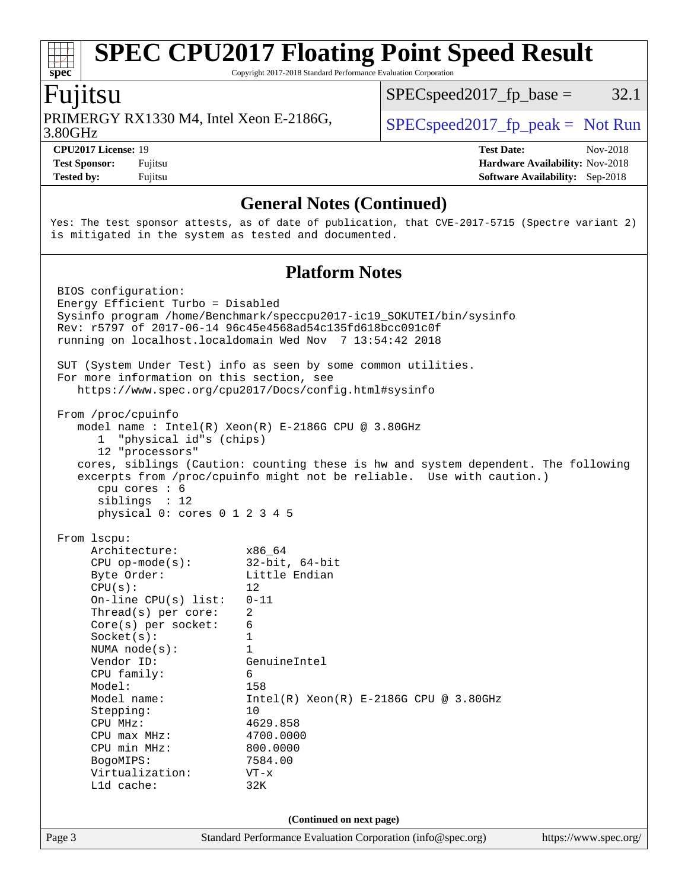Copyright 2017-2018 Standard Performance Evaluation Corporation

### Fujitsu

**[spec](http://www.spec.org/)**

3.80GHz PRIMERGY RX1330 M4, Intel Xeon E-2186G,  $\vert$  [SPECspeed2017\\_fp\\_peak =](http://www.spec.org/auto/cpu2017/Docs/result-fields.html#SPECspeed2017fppeak) Not Run

 $SPEC speed2017_fp\_base = 32.1$ 

**[Tested by:](http://www.spec.org/auto/cpu2017/Docs/result-fields.html#Testedby)** Fujitsu **[Software Availability:](http://www.spec.org/auto/cpu2017/Docs/result-fields.html#SoftwareAvailability)** Sep-2018

**[CPU2017 License:](http://www.spec.org/auto/cpu2017/Docs/result-fields.html#CPU2017License)** 19 **[Test Date:](http://www.spec.org/auto/cpu2017/Docs/result-fields.html#TestDate)** Nov-2018 **[Test Sponsor:](http://www.spec.org/auto/cpu2017/Docs/result-fields.html#TestSponsor)** Fujitsu **[Hardware Availability:](http://www.spec.org/auto/cpu2017/Docs/result-fields.html#HardwareAvailability)** Nov-2018

#### **[General Notes \(Continued\)](http://www.spec.org/auto/cpu2017/Docs/result-fields.html#GeneralNotes)**

Yes: The test sponsor attests, as of date of publication, that CVE-2017-5715 (Spectre variant 2) is mitigated in the system as tested and documented.

#### **[Platform Notes](http://www.spec.org/auto/cpu2017/Docs/result-fields.html#PlatformNotes)**

Page 3 Standard Performance Evaluation Corporation [\(info@spec.org\)](mailto:info@spec.org) <https://www.spec.org/> BIOS configuration: Energy Efficient Turbo = Disabled Sysinfo program /home/Benchmark/speccpu2017-ic19\_SOKUTEI/bin/sysinfo Rev: r5797 of 2017-06-14 96c45e4568ad54c135fd618bcc091c0f running on localhost.localdomain Wed Nov 7 13:54:42 2018 SUT (System Under Test) info as seen by some common utilities. For more information on this section, see <https://www.spec.org/cpu2017/Docs/config.html#sysinfo> From /proc/cpuinfo model name : Intel(R) Xeon(R) E-2186G CPU @ 3.80GHz 1 "physical id"s (chips) 12 "processors" cores, siblings (Caution: counting these is hw and system dependent. The following excerpts from /proc/cpuinfo might not be reliable. Use with caution.) cpu cores : 6 siblings : 12 physical 0: cores 0 1 2 3 4 5 From lscpu: Architecture: x86\_64 CPU op-mode(s): 32-bit, 64-bit Byte Order: Little Endian  $CPU(s):$  12 On-line CPU(s) list: 0-11 Thread(s) per core: 2 Core(s) per socket: 6  $Sockets(s):$  1 NUMA node(s): 1 Vendor ID: GenuineIntel CPU family: 6 Model: 158 Model name:  $Intel(R)$  Xeon(R) E-2186G CPU @ 3.80GHz Stepping: 10 CPU MHz: 4629.858 CPU max MHz: 4700.0000 CPU min MHz: 800.0000 BogoMIPS: 7584.00 Virtualization: VT-x L1d cache: 32K **(Continued on next page)**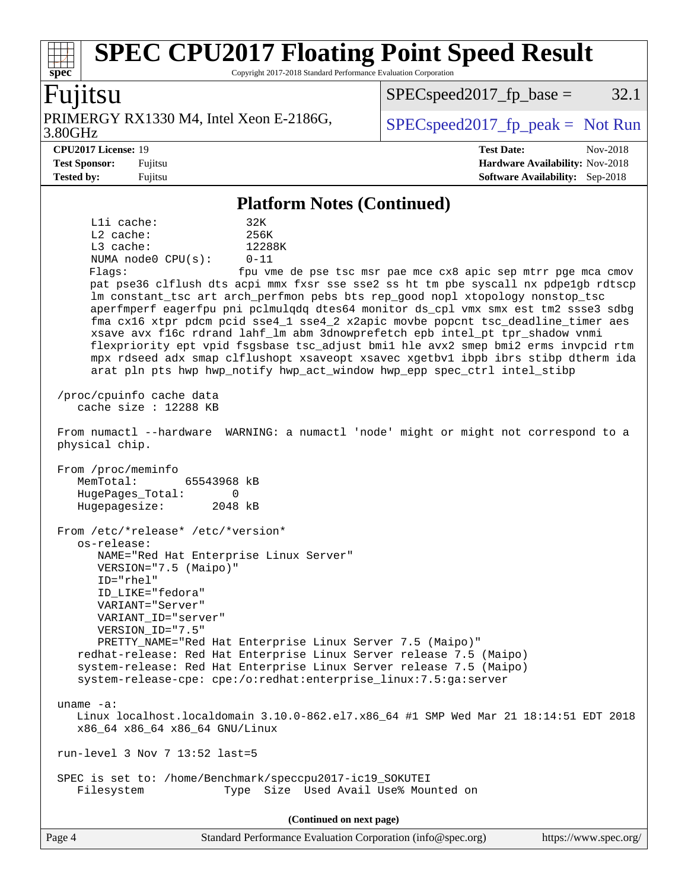Copyright 2017-2018 Standard Performance Evaluation Corporation

### Fujitsu

**[spec](http://www.spec.org/)**

3.80GHz PRIMERGY RX1330 M4, Intel Xeon E-2186G,  $\vert$  [SPECspeed2017\\_fp\\_peak =](http://www.spec.org/auto/cpu2017/Docs/result-fields.html#SPECspeed2017fppeak) Not Run

 $SPEC speed2017_fp\_base = 32.1$ 

**[CPU2017 License:](http://www.spec.org/auto/cpu2017/Docs/result-fields.html#CPU2017License)** 19 **[Test Date:](http://www.spec.org/auto/cpu2017/Docs/result-fields.html#TestDate)** Nov-2018 **[Test Sponsor:](http://www.spec.org/auto/cpu2017/Docs/result-fields.html#TestSponsor)** Fujitsu **[Hardware Availability:](http://www.spec.org/auto/cpu2017/Docs/result-fields.html#HardwareAvailability)** Nov-2018 **[Tested by:](http://www.spec.org/auto/cpu2017/Docs/result-fields.html#Testedby)** Fujitsu **[Software Availability:](http://www.spec.org/auto/cpu2017/Docs/result-fields.html#SoftwareAvailability)** Sep-2018

#### **[Platform Notes \(Continued\)](http://www.spec.org/auto/cpu2017/Docs/result-fields.html#PlatformNotes)**

| $L1i$ cache:                     | 32K        |
|----------------------------------|------------|
| $L2$ cache:                      | 256K       |
| $L3$ cache:                      | 12288K     |
| NUMA $node0$ $CPU(s):$           | $0 - 11$   |
| Flaqs:                           | fpu vme de |
| pat pse36 clflush dts acpi mmx f |            |

e pse tsc msr pae mce cx8 apic sep mtrr pge mca cmov fxsr sse sse2 ss ht tm pbe syscall nx pdpe1gb rdtscp lm constant\_tsc art arch\_perfmon pebs bts rep\_good nopl xtopology nonstop\_tsc aperfmperf eagerfpu pni pclmulqdq dtes64 monitor ds\_cpl vmx smx est tm2 ssse3 sdbg fma cx16 xtpr pdcm pcid sse4\_1 sse4\_2 x2apic movbe popcnt tsc\_deadline\_timer aes xsave avx f16c rdrand lahf\_lm abm 3dnowprefetch epb intel\_pt tpr\_shadow vnmi flexpriority ept vpid fsgsbase tsc\_adjust bmi1 hle avx2 smep bmi2 erms invpcid rtm mpx rdseed adx smap clflushopt xsaveopt xsavec xgetbv1 ibpb ibrs stibp dtherm ida arat pln pts hwp hwp\_notify hwp\_act\_window hwp\_epp spec\_ctrl intel\_stibp

 /proc/cpuinfo cache data cache size : 12288 KB

 From numactl --hardware WARNING: a numactl 'node' might or might not correspond to a physical chip.

 From /proc/meminfo MemTotal: 65543968 kB HugePages\_Total: 0 Hugepagesize: 2048 kB

 From /etc/\*release\* /etc/\*version\* os-release: NAME="Red Hat Enterprise Linux Server" VERSION="7.5 (Maipo)" ID="rhel" ID\_LIKE="fedora" VARIANT="Server" VARIANT\_ID="server" VERSION\_ID="7.5" PRETTY\_NAME="Red Hat Enterprise Linux Server 7.5 (Maipo)" redhat-release: Red Hat Enterprise Linux Server release 7.5 (Maipo)

 system-release: Red Hat Enterprise Linux Server release 7.5 (Maipo) system-release-cpe: cpe:/o:redhat:enterprise\_linux:7.5:ga:server

uname -a:

 Linux localhost.localdomain 3.10.0-862.el7.x86\_64 #1 SMP Wed Mar 21 18:14:51 EDT 2018 x86\_64 x86\_64 x86\_64 GNU/Linux

run-level 3 Nov 7 13:52 last=5

 SPEC is set to: /home/Benchmark/speccpu2017-ic19\_SOKUTEI Filesystem Type Size Used Avail Use% Mounted on

**(Continued on next page)**

| Page 4<br>Standard Performance Evaluation Corporation (info@spec.org) | https://www.spec.org/ |
|-----------------------------------------------------------------------|-----------------------|
|-----------------------------------------------------------------------|-----------------------|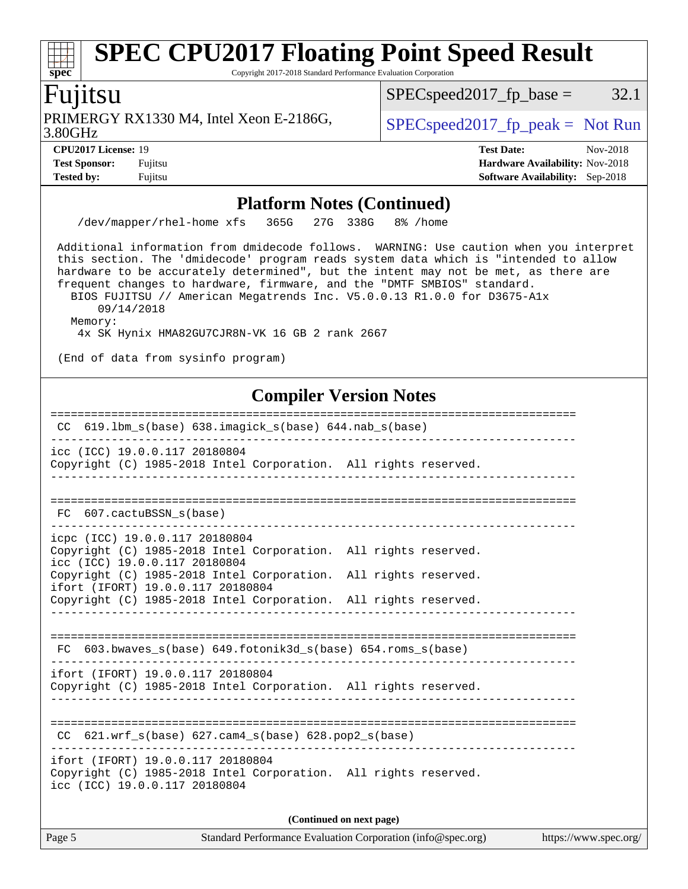Copyright 2017-2018 Standard Performance Evaluation Corporation

### Fujitsu

**[spec](http://www.spec.org/)**

3.80GHz PRIMERGY RX1330 M4, Intel Xeon E-2186G,  $\big|$  [SPECspeed2017\\_fp\\_peak =](http://www.spec.org/auto/cpu2017/Docs/result-fields.html#SPECspeed2017fppeak) Not Run

 $SPEC speed2017_fp\_base = 32.1$ 

**[Tested by:](http://www.spec.org/auto/cpu2017/Docs/result-fields.html#Testedby)** Fujitsu **[Software Availability:](http://www.spec.org/auto/cpu2017/Docs/result-fields.html#SoftwareAvailability)** Sep-2018

**[CPU2017 License:](http://www.spec.org/auto/cpu2017/Docs/result-fields.html#CPU2017License)** 19 **[Test Date:](http://www.spec.org/auto/cpu2017/Docs/result-fields.html#TestDate)** Nov-2018 **[Test Sponsor:](http://www.spec.org/auto/cpu2017/Docs/result-fields.html#TestSponsor)** Fujitsu **[Hardware Availability:](http://www.spec.org/auto/cpu2017/Docs/result-fields.html#HardwareAvailability)** Nov-2018

#### **[Platform Notes \(Continued\)](http://www.spec.org/auto/cpu2017/Docs/result-fields.html#PlatformNotes)**

/dev/mapper/rhel-home xfs 365G 27G 338G 8% /home

 Additional information from dmidecode follows. WARNING: Use caution when you interpret this section. The 'dmidecode' program reads system data which is "intended to allow hardware to be accurately determined", but the intent may not be met, as there are frequent changes to hardware, firmware, and the "DMTF SMBIOS" standard. BIOS FUJITSU // American Megatrends Inc. V5.0.0.13 R1.0.0 for D3675-A1x

09/14/2018

Memory:

4x SK Hynix HMA82GU7CJR8N-VK 16 GB 2 rank 2667

(End of data from sysinfo program)

### **[Compiler Version Notes](http://www.spec.org/auto/cpu2017/Docs/result-fields.html#CompilerVersionNotes)**

============================================================================== CC 619.lbm\_s(base) 638.imagick\_s(base) 644.nab\_s(base) ----------------------------------------------------------------------------- icc (ICC) 19.0.0.117 20180804 Copyright (C) 1985-2018 Intel Corporation. All rights reserved. ------------------------------------------------------------------------------ ============================================================================== FC 607.cactuBSSN\_s(base) ----------------------------------------------------------------------------- icpc (ICC) 19.0.0.117 20180804 Copyright (C) 1985-2018 Intel Corporation. All rights reserved. icc (ICC) 19.0.0.117 20180804 Copyright (C) 1985-2018 Intel Corporation. All rights reserved. ifort (IFORT) 19.0.0.117 20180804 Copyright (C) 1985-2018 Intel Corporation. All rights reserved. ------------------------------------------------------------------------------ ============================================================================== FC 603.bwaves\_s(base) 649.fotonik3d\_s(base) 654.roms\_s(base) ----------------------------------------------------------------------------- ifort (IFORT) 19.0.0.117 20180804 Copyright (C) 1985-2018 Intel Corporation. All rights reserved. ------------------------------------------------------------------------------ ============================================================================== CC 621.wrf\_s(base) 627.cam4\_s(base) 628.pop2\_s(base) ----------------------------------------------------------------------------- ifort (IFORT) 19.0.0.117 20180804 Copyright (C) 1985-2018 Intel Corporation. All rights reserved. icc (ICC) 19.0.0.117 20180804 **(Continued on next page)**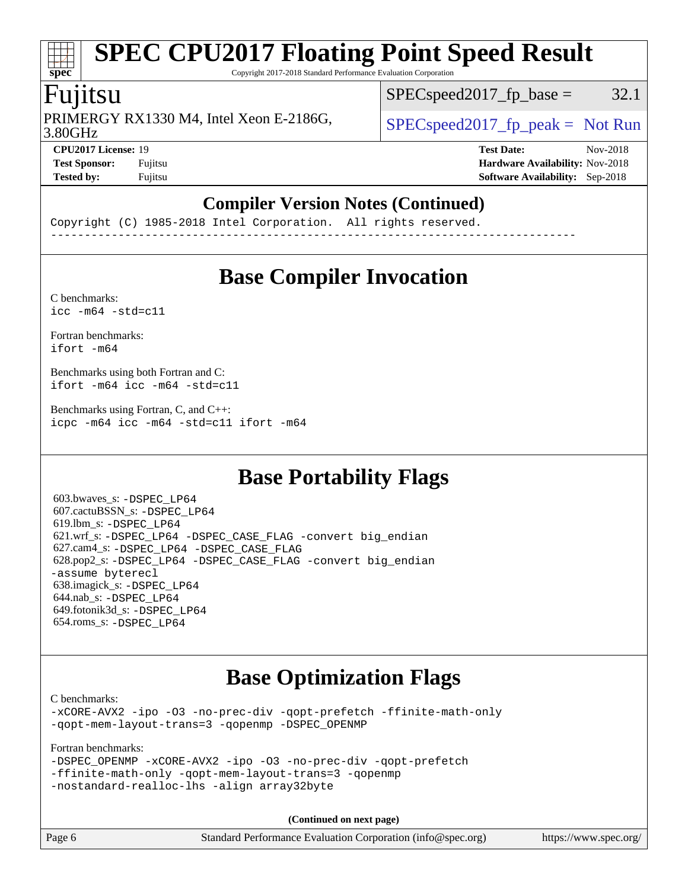Copyright 2017-2018 Standard Performance Evaluation Corporation

### Fujitsu

**[spec](http://www.spec.org/)**

3.80GHz PRIMERGY RX1330 M4, Intel Xeon E-2186G,  $\vert$  [SPECspeed2017\\_fp\\_peak =](http://www.spec.org/auto/cpu2017/Docs/result-fields.html#SPECspeed2017fppeak) Not Run

 $SPEC speed2017_fp\_base = 32.1$ 

**[Tested by:](http://www.spec.org/auto/cpu2017/Docs/result-fields.html#Testedby)** Fujitsu **[Software Availability:](http://www.spec.org/auto/cpu2017/Docs/result-fields.html#SoftwareAvailability)** Sep-2018

**[CPU2017 License:](http://www.spec.org/auto/cpu2017/Docs/result-fields.html#CPU2017License)** 19 **[Test Date:](http://www.spec.org/auto/cpu2017/Docs/result-fields.html#TestDate)** Nov-2018 **[Test Sponsor:](http://www.spec.org/auto/cpu2017/Docs/result-fields.html#TestSponsor)** Fujitsu **[Hardware Availability:](http://www.spec.org/auto/cpu2017/Docs/result-fields.html#HardwareAvailability)** Nov-2018

#### **[Compiler Version Notes \(Continued\)](http://www.spec.org/auto/cpu2017/Docs/result-fields.html#CompilerVersionNotes)**

Copyright (C) 1985-2018 Intel Corporation. All rights reserved. ------------------------------------------------------------------------------

# **[Base Compiler Invocation](http://www.spec.org/auto/cpu2017/Docs/result-fields.html#BaseCompilerInvocation)**

[C benchmarks](http://www.spec.org/auto/cpu2017/Docs/result-fields.html#Cbenchmarks):  $\text{icc}$  -m64 -std=c11

[Fortran benchmarks](http://www.spec.org/auto/cpu2017/Docs/result-fields.html#Fortranbenchmarks): [ifort -m64](http://www.spec.org/cpu2017/results/res2018q4/cpu2017-20181113-09781.flags.html#user_FCbase_intel_ifort_64bit_24f2bb282fbaeffd6157abe4f878425411749daecae9a33200eee2bee2fe76f3b89351d69a8130dd5949958ce389cf37ff59a95e7a40d588e8d3a57e0c3fd751)

[Benchmarks using both Fortran and C](http://www.spec.org/auto/cpu2017/Docs/result-fields.html#BenchmarksusingbothFortranandC): [ifort -m64](http://www.spec.org/cpu2017/results/res2018q4/cpu2017-20181113-09781.flags.html#user_CC_FCbase_intel_ifort_64bit_24f2bb282fbaeffd6157abe4f878425411749daecae9a33200eee2bee2fe76f3b89351d69a8130dd5949958ce389cf37ff59a95e7a40d588e8d3a57e0c3fd751) [icc -m64 -std=c11](http://www.spec.org/cpu2017/results/res2018q4/cpu2017-20181113-09781.flags.html#user_CC_FCbase_intel_icc_64bit_c11_33ee0cdaae7deeeab2a9725423ba97205ce30f63b9926c2519791662299b76a0318f32ddfffdc46587804de3178b4f9328c46fa7c2b0cd779d7a61945c91cd35)

[Benchmarks using Fortran, C, and C++:](http://www.spec.org/auto/cpu2017/Docs/result-fields.html#BenchmarksusingFortranCandCXX) [icpc -m64](http://www.spec.org/cpu2017/results/res2018q4/cpu2017-20181113-09781.flags.html#user_CC_CXX_FCbase_intel_icpc_64bit_4ecb2543ae3f1412ef961e0650ca070fec7b7afdcd6ed48761b84423119d1bf6bdf5cad15b44d48e7256388bc77273b966e5eb805aefd121eb22e9299b2ec9d9) [icc -m64 -std=c11](http://www.spec.org/cpu2017/results/res2018q4/cpu2017-20181113-09781.flags.html#user_CC_CXX_FCbase_intel_icc_64bit_c11_33ee0cdaae7deeeab2a9725423ba97205ce30f63b9926c2519791662299b76a0318f32ddfffdc46587804de3178b4f9328c46fa7c2b0cd779d7a61945c91cd35) [ifort -m64](http://www.spec.org/cpu2017/results/res2018q4/cpu2017-20181113-09781.flags.html#user_CC_CXX_FCbase_intel_ifort_64bit_24f2bb282fbaeffd6157abe4f878425411749daecae9a33200eee2bee2fe76f3b89351d69a8130dd5949958ce389cf37ff59a95e7a40d588e8d3a57e0c3fd751)

## **[Base Portability Flags](http://www.spec.org/auto/cpu2017/Docs/result-fields.html#BasePortabilityFlags)**

 603.bwaves\_s: [-DSPEC\\_LP64](http://www.spec.org/cpu2017/results/res2018q4/cpu2017-20181113-09781.flags.html#suite_basePORTABILITY603_bwaves_s_DSPEC_LP64) 607.cactuBSSN\_s: [-DSPEC\\_LP64](http://www.spec.org/cpu2017/results/res2018q4/cpu2017-20181113-09781.flags.html#suite_basePORTABILITY607_cactuBSSN_s_DSPEC_LP64) 619.lbm\_s: [-DSPEC\\_LP64](http://www.spec.org/cpu2017/results/res2018q4/cpu2017-20181113-09781.flags.html#suite_basePORTABILITY619_lbm_s_DSPEC_LP64) 621.wrf\_s: [-DSPEC\\_LP64](http://www.spec.org/cpu2017/results/res2018q4/cpu2017-20181113-09781.flags.html#suite_basePORTABILITY621_wrf_s_DSPEC_LP64) [-DSPEC\\_CASE\\_FLAG](http://www.spec.org/cpu2017/results/res2018q4/cpu2017-20181113-09781.flags.html#b621.wrf_s_baseCPORTABILITY_DSPEC_CASE_FLAG) [-convert big\\_endian](http://www.spec.org/cpu2017/results/res2018q4/cpu2017-20181113-09781.flags.html#user_baseFPORTABILITY621_wrf_s_convert_big_endian_c3194028bc08c63ac5d04de18c48ce6d347e4e562e8892b8bdbdc0214820426deb8554edfa529a3fb25a586e65a3d812c835984020483e7e73212c4d31a38223) 627.cam4\_s: [-DSPEC\\_LP64](http://www.spec.org/cpu2017/results/res2018q4/cpu2017-20181113-09781.flags.html#suite_basePORTABILITY627_cam4_s_DSPEC_LP64) [-DSPEC\\_CASE\\_FLAG](http://www.spec.org/cpu2017/results/res2018q4/cpu2017-20181113-09781.flags.html#b627.cam4_s_baseCPORTABILITY_DSPEC_CASE_FLAG) 628.pop2\_s: [-DSPEC\\_LP64](http://www.spec.org/cpu2017/results/res2018q4/cpu2017-20181113-09781.flags.html#suite_basePORTABILITY628_pop2_s_DSPEC_LP64) [-DSPEC\\_CASE\\_FLAG](http://www.spec.org/cpu2017/results/res2018q4/cpu2017-20181113-09781.flags.html#b628.pop2_s_baseCPORTABILITY_DSPEC_CASE_FLAG) [-convert big\\_endian](http://www.spec.org/cpu2017/results/res2018q4/cpu2017-20181113-09781.flags.html#user_baseFPORTABILITY628_pop2_s_convert_big_endian_c3194028bc08c63ac5d04de18c48ce6d347e4e562e8892b8bdbdc0214820426deb8554edfa529a3fb25a586e65a3d812c835984020483e7e73212c4d31a38223) [-assume byterecl](http://www.spec.org/cpu2017/results/res2018q4/cpu2017-20181113-09781.flags.html#user_baseFPORTABILITY628_pop2_s_assume_byterecl_7e47d18b9513cf18525430bbf0f2177aa9bf368bc7a059c09b2c06a34b53bd3447c950d3f8d6c70e3faf3a05c8557d66a5798b567902e8849adc142926523472) 638.imagick\_s: [-DSPEC\\_LP64](http://www.spec.org/cpu2017/results/res2018q4/cpu2017-20181113-09781.flags.html#suite_basePORTABILITY638_imagick_s_DSPEC_LP64) 644.nab\_s: [-DSPEC\\_LP64](http://www.spec.org/cpu2017/results/res2018q4/cpu2017-20181113-09781.flags.html#suite_basePORTABILITY644_nab_s_DSPEC_LP64) 649.fotonik3d\_s: [-DSPEC\\_LP64](http://www.spec.org/cpu2017/results/res2018q4/cpu2017-20181113-09781.flags.html#suite_basePORTABILITY649_fotonik3d_s_DSPEC_LP64) 654.roms\_s: [-DSPEC\\_LP64](http://www.spec.org/cpu2017/results/res2018q4/cpu2017-20181113-09781.flags.html#suite_basePORTABILITY654_roms_s_DSPEC_LP64)

# **[Base Optimization Flags](http://www.spec.org/auto/cpu2017/Docs/result-fields.html#BaseOptimizationFlags)**

[C benchmarks](http://www.spec.org/auto/cpu2017/Docs/result-fields.html#Cbenchmarks):

[-xCORE-AVX2](http://www.spec.org/cpu2017/results/res2018q4/cpu2017-20181113-09781.flags.html#user_CCbase_f-xCORE-AVX2) [-ipo](http://www.spec.org/cpu2017/results/res2018q4/cpu2017-20181113-09781.flags.html#user_CCbase_f-ipo) [-O3](http://www.spec.org/cpu2017/results/res2018q4/cpu2017-20181113-09781.flags.html#user_CCbase_f-O3) [-no-prec-div](http://www.spec.org/cpu2017/results/res2018q4/cpu2017-20181113-09781.flags.html#user_CCbase_f-no-prec-div) [-qopt-prefetch](http://www.spec.org/cpu2017/results/res2018q4/cpu2017-20181113-09781.flags.html#user_CCbase_f-qopt-prefetch) [-ffinite-math-only](http://www.spec.org/cpu2017/results/res2018q4/cpu2017-20181113-09781.flags.html#user_CCbase_f_finite_math_only_cb91587bd2077682c4b38af759c288ed7c732db004271a9512da14a4f8007909a5f1427ecbf1a0fb78ff2a814402c6114ac565ca162485bbcae155b5e4258871) [-qopt-mem-layout-trans=3](http://www.spec.org/cpu2017/results/res2018q4/cpu2017-20181113-09781.flags.html#user_CCbase_f-qopt-mem-layout-trans_de80db37974c74b1f0e20d883f0b675c88c3b01e9d123adea9b28688d64333345fb62bc4a798493513fdb68f60282f9a726aa07f478b2f7113531aecce732043) [-qopenmp](http://www.spec.org/cpu2017/results/res2018q4/cpu2017-20181113-09781.flags.html#user_CCbase_qopenmp_16be0c44f24f464004c6784a7acb94aca937f053568ce72f94b139a11c7c168634a55f6653758ddd83bcf7b8463e8028bb0b48b77bcddc6b78d5d95bb1df2967) [-DSPEC\\_OPENMP](http://www.spec.org/cpu2017/results/res2018q4/cpu2017-20181113-09781.flags.html#suite_CCbase_DSPEC_OPENMP)

[Fortran benchmarks](http://www.spec.org/auto/cpu2017/Docs/result-fields.html#Fortranbenchmarks):

```
-DSPEC_OPENMP -xCORE-AVX2 -ipo -O3 -no-prec-div -qopt-prefetch
-ffinite-math-only -qopt-mem-layout-trans=3 -qopenmp
-nostandard-realloc-lhs -align array32byte
```
**(Continued on next page)**

| Standard Performance Evaluation Corporation (info@spec.org)<br>Page 6 | https://www.spec.org/ |
|-----------------------------------------------------------------------|-----------------------|
|-----------------------------------------------------------------------|-----------------------|